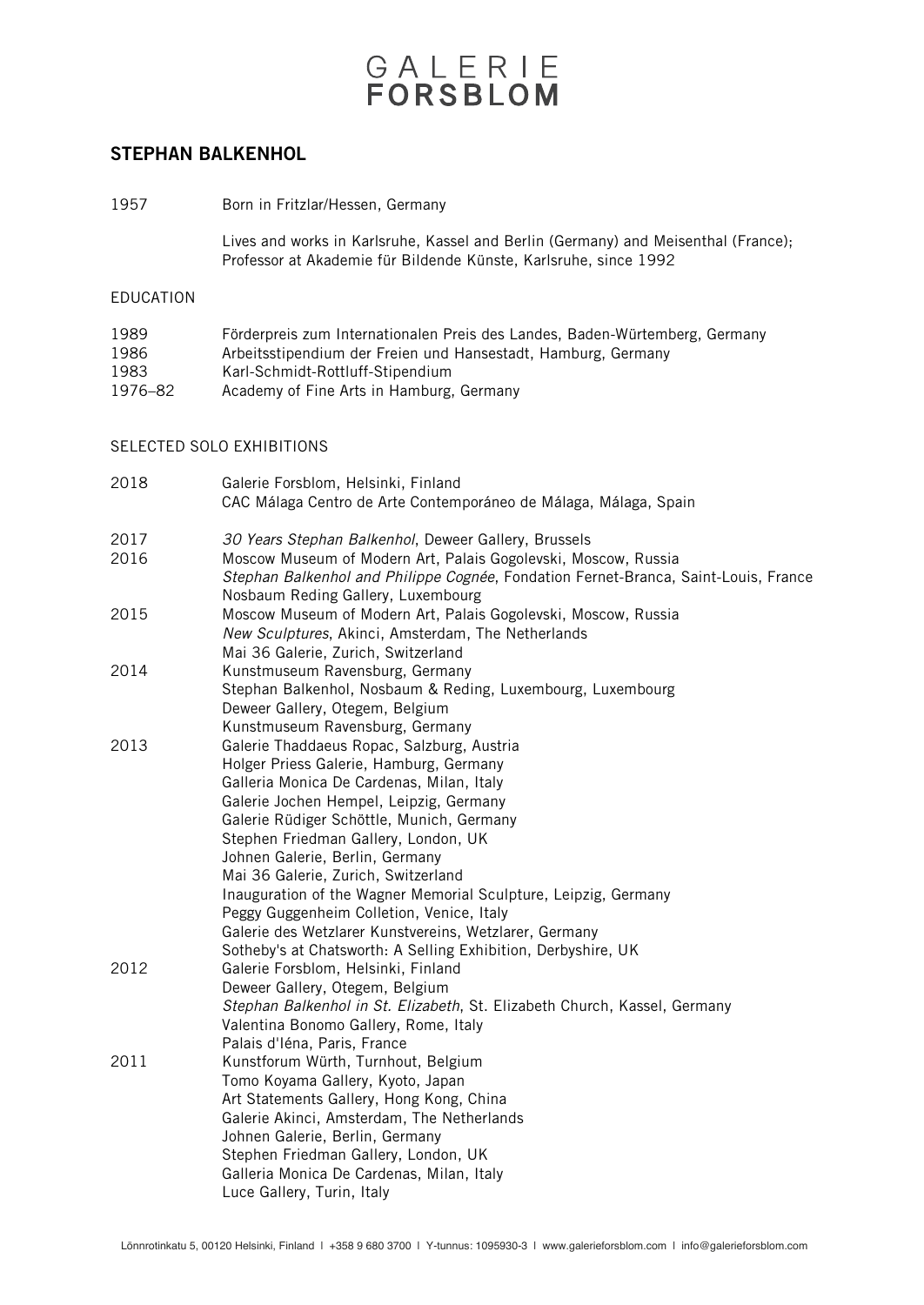#### STEPHAN BALKENHOL

1957 Born in Fritzlar/Hessen, Germany

Lives and works in Karlsruhe, Kassel and Berlin (Germany) and Meisenthal (France); Professor at Akademie für Bildende Künste, Karlsruhe, since 1992

#### EDUCATION

| 1989    | Förderpreis zum Internationalen Preis des Landes, Baden-Würtemberg, Germany |
|---------|-----------------------------------------------------------------------------|
| 1986    | Arbeitsstipendium der Freien und Hansestadt, Hamburg, Germany               |
| 1983    | Karl-Schmidt-Rottluff-Stipendium                                            |
| 1976–82 | Academy of Fine Arts in Hamburg, Germany                                    |
|         |                                                                             |

#### SELECTED SOLO EXHIBITIONS

| 2018         | Galerie Forsblom, Helsinki, Finland<br>CAC Málaga Centro de Arte Contemporáneo de Málaga, Málaga, Spain                   |
|--------------|---------------------------------------------------------------------------------------------------------------------------|
| 2017<br>2016 | 30 Years Stephan Balkenhol, Deweer Gallery, Brussels<br>Moscow Museum of Modern Art, Palais Gogolevski, Moscow, Russia    |
|              | Stephan Balkenhol and Philippe Cognée, Fondation Fernet-Branca, Saint-Louis, France<br>Nosbaum Reding Gallery, Luxembourg |
| 2015         | Moscow Museum of Modern Art, Palais Gogolevski, Moscow, Russia                                                            |
|              | New Sculptures, Akinci, Amsterdam, The Netherlands<br>Mai 36 Galerie, Zurich, Switzerland                                 |
| 2014         | Kunstmuseum Ravensburg, Germany                                                                                           |
|              | Stephan Balkenhol, Nosbaum & Reding, Luxembourg, Luxembourg                                                               |
|              | Deweer Gallery, Otegem, Belgium                                                                                           |
|              | Kunstmuseum Ravensburg, Germany                                                                                           |
| 2013         | Galerie Thaddaeus Ropac, Salzburg, Austria                                                                                |
|              | Holger Priess Galerie, Hamburg, Germany                                                                                   |
|              | Galleria Monica De Cardenas, Milan, Italy                                                                                 |
|              | Galerie Jochen Hempel, Leipzig, Germany<br>Galerie Rüdiger Schöttle, Munich, Germany                                      |
|              | Stephen Friedman Gallery, London, UK                                                                                      |
|              | Johnen Galerie, Berlin, Germany                                                                                           |
|              | Mai 36 Galerie, Zurich, Switzerland                                                                                       |
|              | Inauguration of the Wagner Memorial Sculpture, Leipzig, Germany                                                           |
|              | Peggy Guggenheim Colletion, Venice, Italy                                                                                 |
|              | Galerie des Wetzlarer Kunstvereins, Wetzlarer, Germany                                                                    |
|              | Sotheby's at Chatsworth: A Selling Exhibition, Derbyshire, UK                                                             |
| 2012         | Galerie Forsblom, Helsinki, Finland                                                                                       |
|              | Deweer Gallery, Otegem, Belgium                                                                                           |
|              | Stephan Balkenhol in St. Elizabeth, St. Elizabeth Church, Kassel, Germany                                                 |
|              | Valentina Bonomo Gallery, Rome, Italy<br>Palais d'Iéna, Paris, France                                                     |
| 2011         | Kunstforum Würth, Turnhout, Belgium                                                                                       |
|              | Tomo Koyama Gallery, Kyoto, Japan                                                                                         |
|              | Art Statements Gallery, Hong Kong, China                                                                                  |
|              | Galerie Akinci, Amsterdam, The Netherlands                                                                                |
|              | Johnen Galerie, Berlin, Germany                                                                                           |
|              | Stephen Friedman Gallery, London, UK                                                                                      |
|              | Galleria Monica De Cardenas, Milan, Italy                                                                                 |
|              | Luce Gallery, Turin, Italy                                                                                                |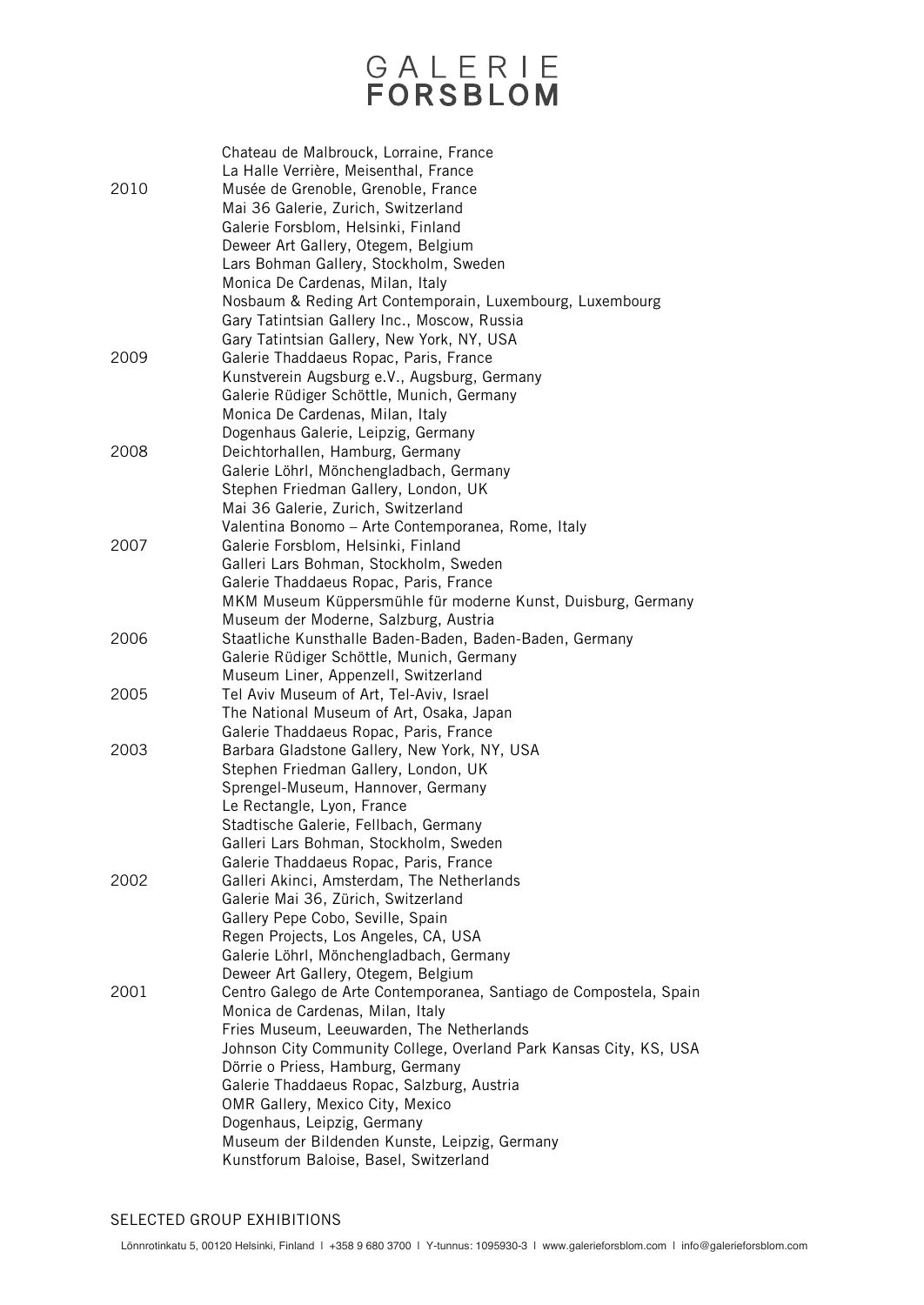|      | Chateau de Malbrouck, Lorraine, France<br>La Halle Verrière, Meisenthal, France |
|------|---------------------------------------------------------------------------------|
| 2010 | Musée de Grenoble, Grenoble, France                                             |
|      | Mai 36 Galerie, Zurich, Switzerland                                             |
|      | Galerie Forsblom, Helsinki, Finland                                             |
|      | Deweer Art Gallery, Otegem, Belgium                                             |
|      | Lars Bohman Gallery, Stockholm, Sweden                                          |
|      | Monica De Cardenas, Milan, Italy                                                |
|      | Nosbaum & Reding Art Contemporain, Luxembourg, Luxembourg                       |
|      | Gary Tatintsian Gallery Inc., Moscow, Russia                                    |
|      | Gary Tatintsian Gallery, New York, NY, USA                                      |
| 2009 | Galerie Thaddaeus Ropac, Paris, France                                          |
|      | Kunstverein Augsburg e.V., Augsburg, Germany                                    |
|      | Galerie Rüdiger Schöttle, Munich, Germany                                       |
|      | Monica De Cardenas, Milan, Italy                                                |
|      | Dogenhaus Galerie, Leipzig, Germany                                             |
| 2008 | Deichtorhallen, Hamburg, Germany                                                |
|      | Galerie Löhrl, Mönchengladbach, Germany                                         |
|      | Stephen Friedman Gallery, London, UK                                            |
|      | Mai 36 Galerie, Zurich, Switzerland                                             |
|      | Valentina Bonomo - Arte Contemporanea, Rome, Italy                              |
| 2007 | Galerie Forsblom, Helsinki, Finland                                             |
|      | Galleri Lars Bohman, Stockholm, Sweden                                          |
|      | Galerie Thaddaeus Ropac, Paris, France                                          |
|      | MKM Museum Küppersmühle für moderne Kunst, Duisburg, Germany                    |
|      | Museum der Moderne, Salzburg, Austria                                           |
| 2006 | Staatliche Kunsthalle Baden-Baden, Baden-Baden, Germany                         |
|      | Galerie Rüdiger Schöttle, Munich, Germany                                       |
|      | Museum Liner, Appenzell, Switzerland                                            |
| 2005 | Tel Aviv Museum of Art, Tel-Aviv, Israel                                        |
|      | The National Museum of Art, Osaka, Japan                                        |
|      | Galerie Thaddaeus Ropac, Paris, France                                          |
| 2003 | Barbara Gladstone Gallery, New York, NY, USA                                    |
|      | Stephen Friedman Gallery, London, UK                                            |
|      | Sprengel-Museum, Hannover, Germany                                              |
|      | Le Rectangle, Lyon, France                                                      |
|      | Stadtische Galerie, Fellbach, Germany                                           |
|      | Galleri Lars Bohman, Stockholm, Sweden                                          |
|      | Galerie Thaddaeus Ropac, Paris, France                                          |
| 2002 | Galleri Akinci, Amsterdam, The Netherlands                                      |
|      | Galerie Mai 36, Zürich, Switzerland                                             |
|      | Gallery Pepe Cobo, Seville, Spain                                               |
|      | Regen Projects, Los Angeles, CA, USA                                            |
|      | Galerie Löhrl, Mönchengladbach, Germany                                         |
|      | Deweer Art Gallery, Otegem, Belgium                                             |
| 2001 | Centro Galego de Arte Contemporanea, Santiago de Compostela, Spain              |
|      | Monica de Cardenas, Milan, Italy                                                |
|      | Fries Museum, Leeuwarden, The Netherlands                                       |
|      | Johnson City Community College, Overland Park Kansas City, KS, USA              |
|      | Dörrie o Priess, Hamburg, Germany                                               |
|      | Galerie Thaddaeus Ropac, Salzburg, Austria                                      |
|      | OMR Gallery, Mexico City, Mexico                                                |
|      | Dogenhaus, Leipzig, Germany                                                     |
|      | Museum der Bildenden Kunste, Leipzig, Germany                                   |
|      | Kunstforum Baloise, Basel, Switzerland                                          |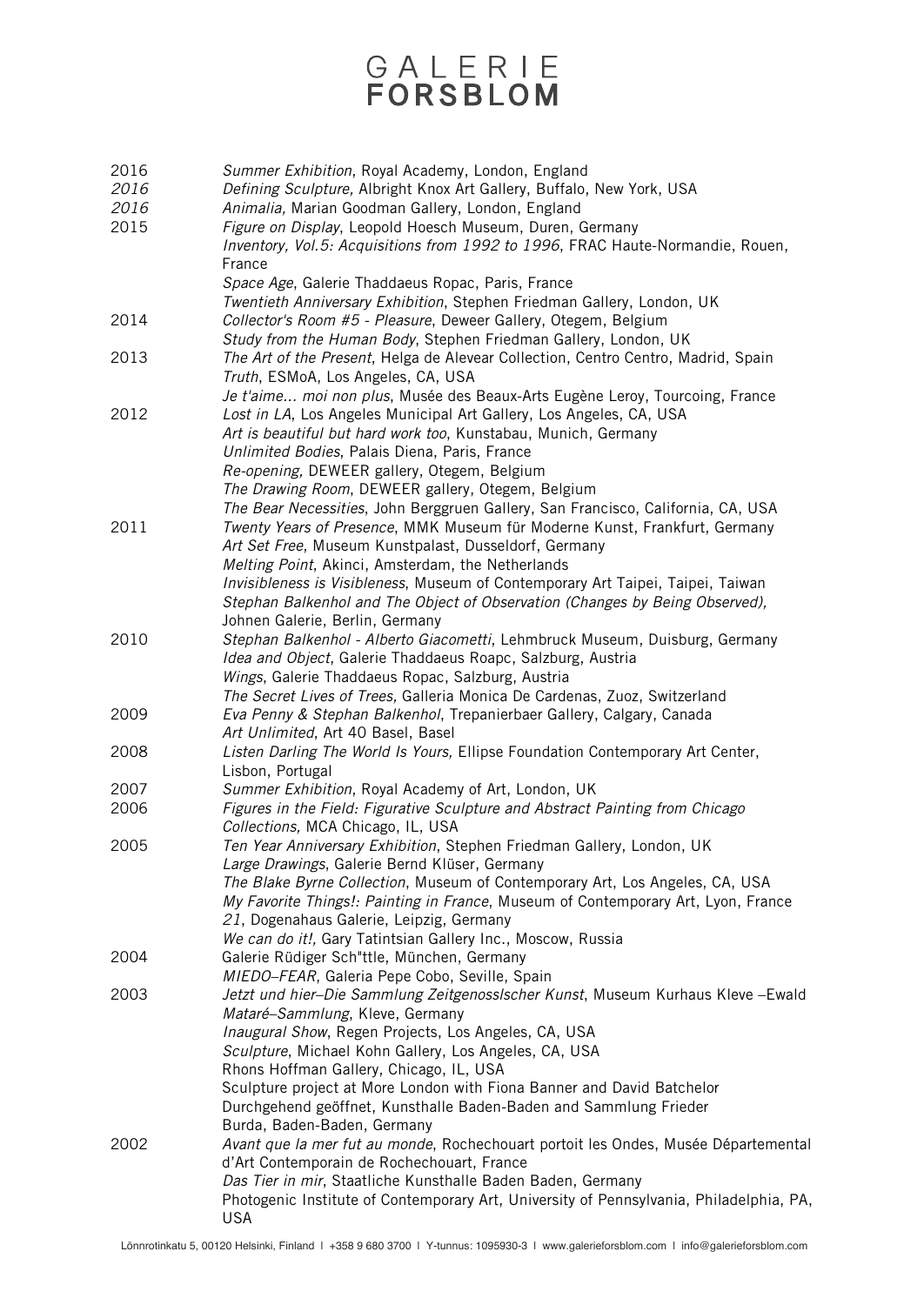| 2016 | Summer Exhibition, Royal Academy, London, England                                                                  |
|------|--------------------------------------------------------------------------------------------------------------------|
| 2016 | Defining Sculpture, Albright Knox Art Gallery, Buffalo, New York, USA                                              |
| 2016 | Animalia, Marian Goodman Gallery, London, England                                                                  |
| 2015 | Figure on Display, Leopold Hoesch Museum, Duren, Germany                                                           |
|      | Inventory, Vol.5: Acquisitions from 1992 to 1996, FRAC Haute-Normandie, Rouen,                                     |
|      | France                                                                                                             |
|      | Space Age, Galerie Thaddaeus Ropac, Paris, France                                                                  |
|      | Twentieth Anniversary Exhibition, Stephen Friedman Gallery, London, UK                                             |
| 2014 | Collector's Room #5 - Pleasure, Deweer Gallery, Otegem, Belgium                                                    |
|      | Study from the Human Body, Stephen Friedman Gallery, London, UK                                                    |
| 2013 | The Art of the Present, Helga de Alevear Collection, Centro Centro, Madrid, Spain                                  |
|      | Truth, ESMoA, Los Angeles, CA, USA                                                                                 |
|      | Je t'aime moi non plus, Musée des Beaux-Arts Eugène Leroy, Tourcoing, France                                       |
| 2012 | Lost in LA, Los Angeles Municipal Art Gallery, Los Angeles, CA, USA                                                |
|      | Art is beautiful but hard work too, Kunstabau, Munich, Germany                                                     |
|      | Unlimited Bodies, Palais Diena, Paris, France                                                                      |
|      | Re-opening, DEWEER gallery, Otegem, Belgium                                                                        |
|      | The Drawing Room, DEWEER gallery, Otegem, Belgium                                                                  |
|      | The Bear Necessities, John Berggruen Gallery, San Francisco, California, CA, USA                                   |
| 2011 | Twenty Years of Presence, MMK Museum für Moderne Kunst, Frankfurt, Germany                                         |
|      | Art Set Free, Museum Kunstpalast, Dusseldorf, Germany                                                              |
|      | Melting Point, Akinci, Amsterdam, the Netherlands                                                                  |
|      | Invisibleness is Visibleness, Museum of Contemporary Art Taipei, Taipei, Taiwan                                    |
|      | Stephan Balkenhol and The Object of Observation (Changes by Being Observed),                                       |
|      | Johnen Galerie, Berlin, Germany                                                                                    |
| 2010 | Stephan Balkenhol - Alberto Giacometti, Lehmbruck Museum, Duisburg, Germany                                        |
|      | Idea and Object, Galerie Thaddaeus Roapc, Salzburg, Austria                                                        |
|      | Wings, Galerie Thaddaeus Ropac, Salzburg, Austria                                                                  |
|      | The Secret Lives of Trees, Galleria Monica De Cardenas, Zuoz, Switzerland                                          |
| 2009 | Eva Penny & Stephan Balkenhol, Trepanierbaer Gallery, Calgary, Canada                                              |
|      | Art Unlimited, Art 40 Basel, Basel                                                                                 |
| 2008 | Listen Darling The World Is Yours, Ellipse Foundation Contemporary Art Center,                                     |
| 2007 | Lisbon, Portugal                                                                                                   |
| 2006 | Summer Exhibition, Royal Academy of Art, London, UK                                                                |
|      | Figures in the Field: Figurative Sculpture and Abstract Painting from Chicago<br>Collections, MCA Chicago, IL, USA |
| 2005 | Ten Year Anniversary Exhibition, Stephen Friedman Gallery, London, UK                                              |
|      | Large Drawings, Galerie Bernd Klüser, Germany                                                                      |
|      | The Blake Byrne Collection, Museum of Contemporary Art, Los Angeles, CA, USA                                       |
|      | My Favorite Things!: Painting in France, Museum of Contemporary Art, Lyon, France                                  |
|      | 21, Dogenahaus Galerie, Leipzig, Germany                                                                           |
|      | We can do it!, Gary Tatintsian Gallery Inc., Moscow, Russia                                                        |
| 2004 | Galerie Rüdiger Sch"ttle, München, Germany                                                                         |
|      | MIEDO-FEAR, Galeria Pepe Cobo, Seville, Spain                                                                      |
| 2003 | Jetzt und hier-Die Sammlung Zeitgenosslscher Kunst, Museum Kurhaus Kleve - Ewald                                   |
|      | Mataré-Sammlung, Kleve, Germany                                                                                    |
|      | Inaugural Show, Regen Projects, Los Angeles, CA, USA                                                               |
|      | Sculpture, Michael Kohn Gallery, Los Angeles, CA, USA                                                              |
|      | Rhons Hoffman Gallery, Chicago, IL, USA                                                                            |
|      | Sculpture project at More London with Fiona Banner and David Batchelor                                             |
|      | Durchgehend geöffnet, Kunsthalle Baden-Baden and Sammlung Frieder                                                  |
|      | Burda, Baden-Baden, Germany                                                                                        |
| 2002 | Avant que la mer fut au monde, Rochechouart portoit les Ondes, Musée Départemental                                 |
|      | d'Art Contemporain de Rochechouart, France                                                                         |
|      | Das Tier in mir, Staatliche Kunsthalle Baden Baden, Germany                                                        |
|      | Photogenic Institute of Contemporary Art, University of Pennsylvania, Philadelphia, PA,                            |
|      | <b>USA</b>                                                                                                         |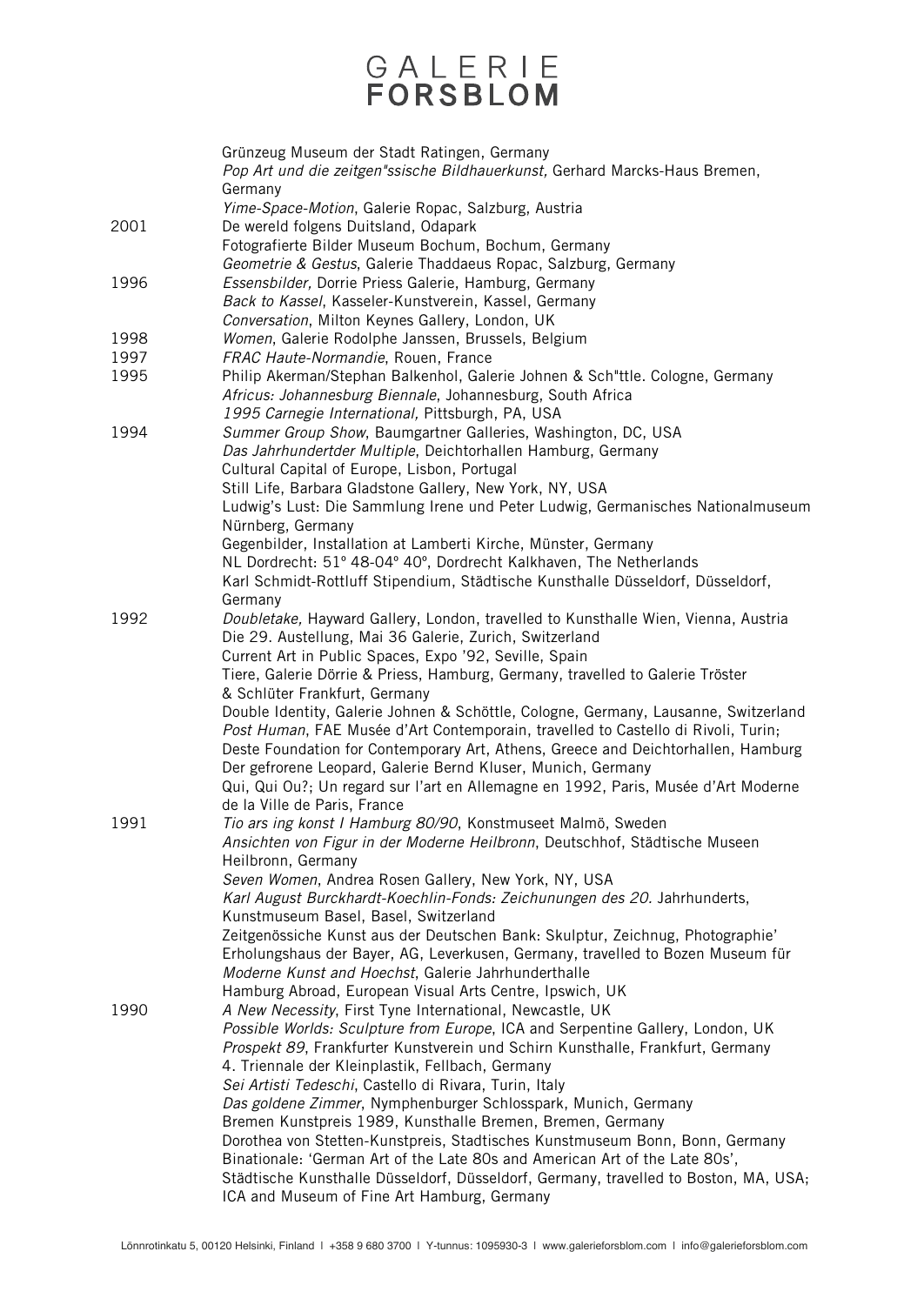|      | Grünzeug Museum der Stadt Ratingen, Germany<br>Pop Art und die zeitgen"ssische Bildhauerkunst, Gerhard Marcks-Haus Bremen,<br>Germany<br>Yime-Space-Motion, Galerie Ropac, Salzburg, Austria                                                                                                                                                                                                                        |
|------|---------------------------------------------------------------------------------------------------------------------------------------------------------------------------------------------------------------------------------------------------------------------------------------------------------------------------------------------------------------------------------------------------------------------|
| 2001 | De wereld folgens Duitsland, Odapark<br>Fotografierte Bilder Museum Bochum, Bochum, Germany<br>Geometrie & Gestus, Galerie Thaddaeus Ropac, Salzburg, Germany                                                                                                                                                                                                                                                       |
| 1996 | Essensbilder, Dorrie Priess Galerie, Hamburg, Germany<br>Back to Kassel, Kasseler-Kunstverein, Kassel, Germany<br>Conversation, Milton Keynes Gallery, London, UK                                                                                                                                                                                                                                                   |
| 1998 | Women, Galerie Rodolphe Janssen, Brussels, Belgium                                                                                                                                                                                                                                                                                                                                                                  |
| 1997 | FRAC Haute-Normandie, Rouen, France                                                                                                                                                                                                                                                                                                                                                                                 |
| 1995 | Philip Akerman/Stephan Balkenhol, Galerie Johnen & Sch"ttle. Cologne, Germany<br>Africus: Johannesburg Biennale, Johannesburg, South Africa<br>1995 Carnegie International, Pittsburgh, PA, USA                                                                                                                                                                                                                     |
| 1994 | Summer Group Show, Baumgartner Galleries, Washington, DC, USA                                                                                                                                                                                                                                                                                                                                                       |
|      | Das Jahrhundertder Multiple, Deichtorhallen Hamburg, Germany<br>Cultural Capital of Europe, Lisbon, Portugal                                                                                                                                                                                                                                                                                                        |
|      | Still Life, Barbara Gladstone Gallery, New York, NY, USA                                                                                                                                                                                                                                                                                                                                                            |
|      | Ludwig's Lust: Die Sammlung Irene und Peter Ludwig, Germanisches Nationalmuseum<br>Nürnberg, Germany                                                                                                                                                                                                                                                                                                                |
|      | Gegenbilder, Installation at Lamberti Kirche, Münster, Germany<br>NL Dordrecht: 51° 48-04° 40°, Dordrecht Kalkhaven, The Netherlands                                                                                                                                                                                                                                                                                |
|      | Karl Schmidt-Rottluff Stipendium, Städtische Kunsthalle Düsseldorf, Düsseldorf,<br>Germany                                                                                                                                                                                                                                                                                                                          |
| 1992 | Doubletake, Hayward Gallery, London, travelled to Kunsthalle Wien, Vienna, Austria<br>Die 29. Austellung, Mai 36 Galerie, Zurich, Switzerland                                                                                                                                                                                                                                                                       |
|      | Current Art in Public Spaces, Expo '92, Seville, Spain                                                                                                                                                                                                                                                                                                                                                              |
|      | Tiere, Galerie Dörrie & Priess, Hamburg, Germany, travelled to Galerie Tröster<br>& Schlüter Frankfurt, Germany                                                                                                                                                                                                                                                                                                     |
|      | Double Identity, Galerie Johnen & Schöttle, Cologne, Germany, Lausanne, Switzerland<br>Post Human, FAE Musée d'Art Contemporain, travelled to Castello di Rivoli, Turin;<br>Deste Foundation for Contemporary Art, Athens, Greece and Deichtorhallen, Hamburg<br>Der gefrorene Leopard, Galerie Bernd Kluser, Munich, Germany<br>Qui, Qui Ou?; Un regard sur l'art en Allemagne en 1992, Paris, Musée d'Art Moderne |
|      | de la Ville de Paris, France                                                                                                                                                                                                                                                                                                                                                                                        |
| 1991 | Tio ars ing konst I Hamburg 80/90, Konstmuseet Malmö, Sweden<br>Ansichten von Figur in der Moderne Heilbronn, Deutschhof, Städtische Museen<br>Heilbronn, Germany                                                                                                                                                                                                                                                   |
|      | Seven Women, Andrea Rosen Gallery, New York, NY, USA                                                                                                                                                                                                                                                                                                                                                                |
|      | Karl August Burckhardt-Koechlin-Fonds: Zeichunungen des 20. Jahrhunderts,<br>Kunstmuseum Basel, Basel, Switzerland                                                                                                                                                                                                                                                                                                  |
|      | Zeitgenössiche Kunst aus der Deutschen Bank: Skulptur, Zeichnug, Photographie'<br>Erholungshaus der Bayer, AG, Leverkusen, Germany, travelled to Bozen Museum für                                                                                                                                                                                                                                                   |
|      | Moderne Kunst and Hoechst, Galerie Jahrhunderthalle<br>Hamburg Abroad, European Visual Arts Centre, Ipswich, UK                                                                                                                                                                                                                                                                                                     |
| 1990 | A New Necessity, First Tyne International, Newcastle, UK                                                                                                                                                                                                                                                                                                                                                            |
|      | Possible Worlds: Sculpture from Europe, ICA and Serpentine Gallery, London, UK<br>Prospekt 89, Frankfurter Kunstverein und Schirn Kunsthalle, Frankfurt, Germany                                                                                                                                                                                                                                                    |
|      | 4. Triennale der Kleinplastik, Fellbach, Germany                                                                                                                                                                                                                                                                                                                                                                    |
|      | Sei Artisti Tedeschi, Castello di Rivara, Turin, Italy                                                                                                                                                                                                                                                                                                                                                              |
|      | Das goldene Zimmer, Nymphenburger Schlosspark, Munich, Germany<br>Bremen Kunstpreis 1989, Kunsthalle Bremen, Bremen, Germany                                                                                                                                                                                                                                                                                        |
|      | Dorothea von Stetten-Kunstpreis, Stadtisches Kunstmuseum Bonn, Bonn, Germany                                                                                                                                                                                                                                                                                                                                        |
|      | Binationale: 'German Art of the Late 80s and American Art of the Late 80s',                                                                                                                                                                                                                                                                                                                                         |
|      | Städtische Kunsthalle Düsseldorf, Düsseldorf, Germany, travelled to Boston, MA, USA;<br>ICA and Museum of Fine Art Hamburg, Germany                                                                                                                                                                                                                                                                                 |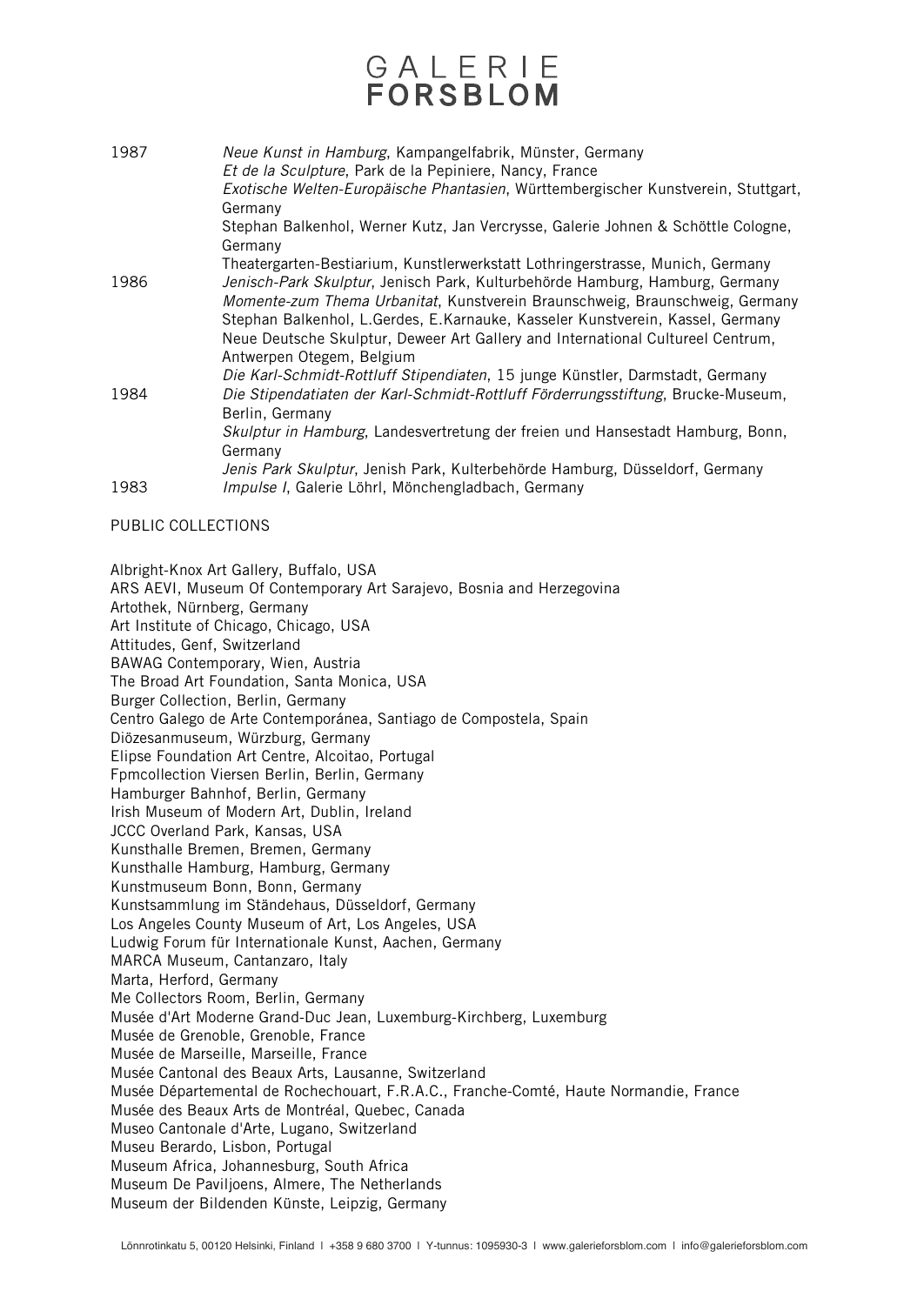### GALERIE FORSBLOM

| 1987 | Neue Kunst in Hamburg, Kampangelfabrik, Münster, Germany<br>Et de la Sculpture, Park de la Pepiniere, Nancy, France<br>Exotische Welten-Europäische Phantasien, Württembergischer Kunstverein, Stuttgart,<br>Germany<br>Stephan Balkenhol, Werner Kutz, Jan Vercrysse, Galerie Johnen & Schöttle Cologne, |
|------|-----------------------------------------------------------------------------------------------------------------------------------------------------------------------------------------------------------------------------------------------------------------------------------------------------------|
|      | Germany                                                                                                                                                                                                                                                                                                   |
| 1986 | Theatergarten-Bestiarium, Kunstlerwerkstatt Lothringerstrasse, Munich, Germany<br>Jenisch-Park Skulptur, Jenisch Park, Kulturbehörde Hamburg, Hamburg, Germany                                                                                                                                            |
|      | Momente-zum Thema Urbanitat, Kunstverein Braunschweig, Braunschweig, Germany<br>Stephan Balkenhol, L.Gerdes, E.Karnauke, Kasseler Kunstverein, Kassel, Germany                                                                                                                                            |
|      | Neue Deutsche Skulptur, Deweer Art Gallery and International Cultureel Centrum,<br>Antwerpen Otegem, Belgium                                                                                                                                                                                              |
|      | Die Karl-Schmidt-Rottluff Stipendiaten, 15 junge Künstler, Darmstadt, Germany                                                                                                                                                                                                                             |
| 1984 | Die Stipendatiaten der Karl-Schmidt-Rottluff Förderrungsstiftung, Brucke-Museum,<br>Berlin, Germany                                                                                                                                                                                                       |
|      | Skulptur in Hamburg, Landesvertretung der freien und Hansestadt Hamburg, Bonn,<br>Germany                                                                                                                                                                                                                 |
|      | Jenis Park Skulptur, Jenish Park, Kulterbehörde Hamburg, Düsseldorf, Germany                                                                                                                                                                                                                              |
| 1983 | Impulse I, Galerie Löhrl, Mönchengladbach, Germany                                                                                                                                                                                                                                                        |

PUBLIC COLLECTIONS

Albright-Knox Art Gallery, Buffalo, USA

ARS AEVI, Museum Of Contemporary Art Sarajevo, Bosnia and Herzegovina Artothek, Nürnberg, Germany Art Institute of Chicago, Chicago, USA Attitudes, Genf, Switzerland BAWAG Contemporary, Wien, Austria The Broad Art Foundation, Santa Monica, USA Burger Collection, Berlin, Germany Centro Galego de Arte Contemporánea, Santiago de Compostela, Spain Diözesanmuseum, Würzburg, Germany Elipse Foundation Art Centre, Alcoitao, Portugal Fpmcollection Viersen Berlin, Berlin, Germany Hamburger Bahnhof, Berlin, Germany Irish Museum of Modern Art, Dublin, Ireland JCCC Overland Park, Kansas, USA Kunsthalle Bremen, Bremen, Germany Kunsthalle Hamburg, Hamburg, Germany Kunstmuseum Bonn, Bonn, Germany Kunstsammlung im Ständehaus, Düsseldorf, Germany Los Angeles County Museum of Art, Los Angeles, USA Ludwig Forum für Internationale Kunst, Aachen, Germany MARCA Museum, Cantanzaro, Italy Marta, Herford, Germany Me Collectors Room, Berlin, Germany Musée d'Art Moderne Grand-Duc Jean, Luxemburg-Kirchberg, Luxemburg Musée de Grenoble, Grenoble, France Musée de Marseille, Marseille, France Musée Cantonal des Beaux Arts, Lausanne, Switzerland Musée Départemental de Rochechouart, F.R.A.C., Franche-Comté, Haute Normandie, France Musée des Beaux Arts de Montréal, Quebec, Canada Museo Cantonale d'Arte, Lugano, Switzerland Museu Berardo, Lisbon, Portugal Museum Africa, Johannesburg, South Africa Museum De Paviljoens, Almere, The Netherlands Museum der Bildenden Künste, Leipzig, Germany